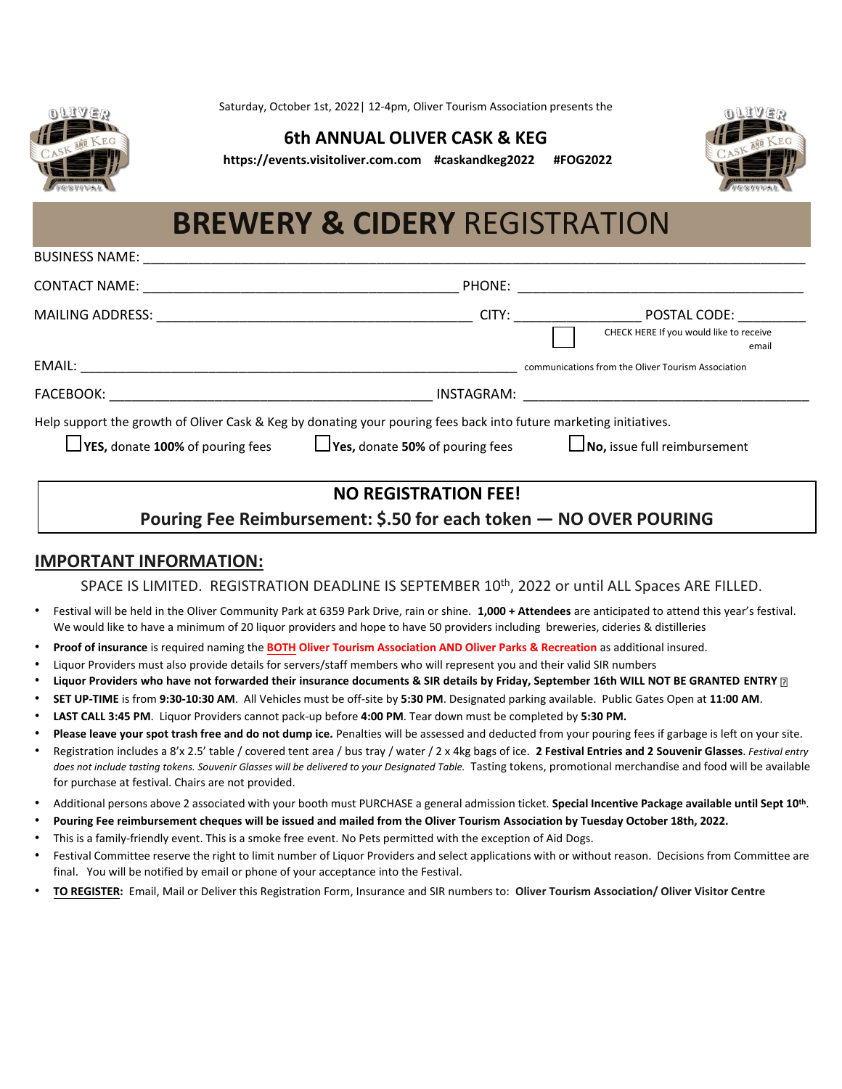

BUSINESS NAME:

Saturday, October 1st, 2022| 12-4pm, Oliver Tourism Association presents the

## **6th ANNUAL OLIVER CASK & KEG**

**https://events.visitoliver.com.com #caskandkeg2022 #FOG2022**



## **BREWERY & CIDERY** REGISTRATION

| <b>CONTACT NAME:</b>                                                                                                                                          | PHONE:                                 |                                                                                                                                                                                                                                |                                                                  |
|---------------------------------------------------------------------------------------------------------------------------------------------------------------|----------------------------------------|--------------------------------------------------------------------------------------------------------------------------------------------------------------------------------------------------------------------------------|------------------------------------------------------------------|
|                                                                                                                                                               |                                        | CITY: the contract of the contract of the contract of the contract of the contract of the contract of the contract of the contract of the contract of the contract of the contract of the contract of the contract of the cont | POSTAL CODE:<br>CHECK HERE If you would like to receive<br>email |
| EMAIL:                                                                                                                                                        |                                        |                                                                                                                                                                                                                                | communications from the Oliver Tourism Association               |
| FACEBOOK:                                                                                                                                                     | INSTAGRAM:                             |                                                                                                                                                                                                                                |                                                                  |
| Help support the growth of Oliver Cask & Keg by donating your pouring fees back into future marketing initiatives.<br>$\Box$ YES, donate 100% of pouring fees | $\Box$ Yes, donate 50% of pouring fees |                                                                                                                                                                                                                                | $\Box$ No, issue full reimbursement                              |

## **NO REGISTRATION FEE!**

**Pouring Fee Reimbursement: \$.50 for each token — NO OVER POURING** 

## **IMPORTANT INFORMATION:**

SPACE IS LIMITED. REGISTRATION DEADLINE IS SEPTEMBER 10<sup>th</sup>, 2022 or until ALL Spaces ARE FILLED.

- Festival will be held in the Oliver Community Park at 6359 Park Drive, rain or shine. **1,000 + Attendees** are anticipated to attend this year's festival. We would like to have a minimum of 20 liquor providers and hope to have 50 providers including breweries, cideries & distilleries
- **Proof of insurance** is required naming the **BOTH Oliver Tourism Association AND Oliver Parks & Recreation** as additional insured.
- Liquor Providers must also provide details for servers/staff members who will represent you and their valid SIR numbers
- **Liquor Providers who have not forwarded their insurance documents & SIR details by Friday, September 16th WILL NOT BE GRANTED ENTRY**
- **SET UP-TIME** is from **9:30-10:30 AM**. All Vehicles must be off-site by **5:30 PM**. Designated parking available. Public Gates Open at **11:00 AM**.
- **LAST CALL 3:45 PM**. Liquor Providers cannot pack-up before **4:00 PM**. Tear down must be completed by **5:30 PM.**
- **Please leave your spot trash free and do not dump ice.** Penalties will be assessed and deducted from your pouring fees if garbage is left on your site.
- Registration includes a 8'x 2.5' table / covered tent area / bus tray / water / 2 x 4kg bags of ice. **2 Festival Entries and 2 Souvenir Glasses**. *Festival entry*  does not include tasting tokens. Souvenir Glasses will be delivered to your Designated Table. Tasting tokens, promotional merchandise and food will be available for purchase at festival. Chairs are not provided.
- Additional persons above 2 associated with your booth must PURCHASE a general admission ticket. **Special Incentive Package available until Sept 10 th** .
- **Pouring Fee reimbursement cheques will be issued and mailed from the Oliver Tourism Association by Tuesday October 18th, 2022.**
- This is a family-friendly event. This is a smoke free event. No Pets permitted with the exception of Aid Dogs.
- Festival Committee reserve the right to limit number of Liquor Providers and select applications with or without reason. Decisions from Committee are final. You will be notified by email or phone of your acceptance into the Festival.
- **TO REGISTER:** Email, Mail or Deliver this Registration Form, Insurance and SIR numbers to: **Oliver Tourism Association/ Oliver Visitor Centre**